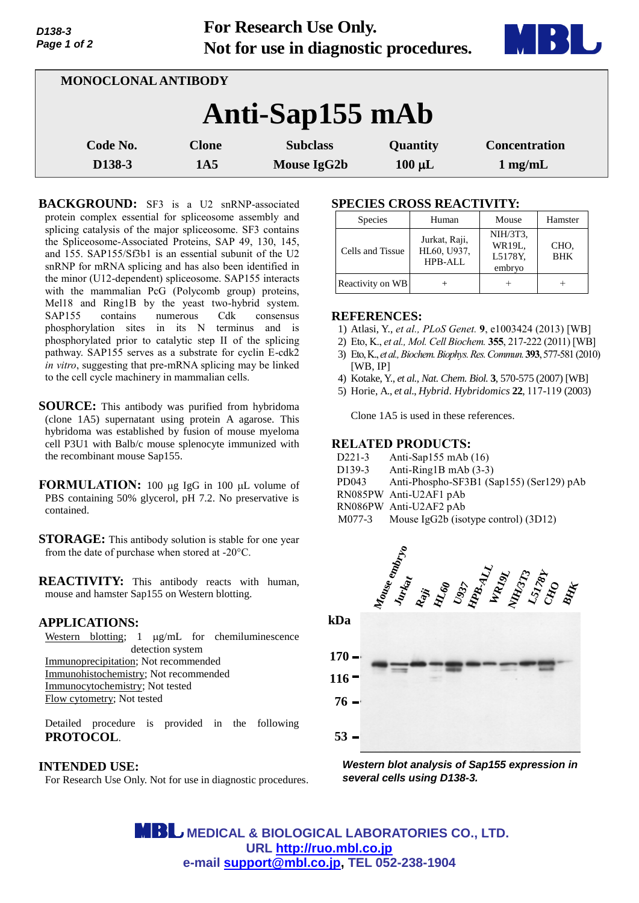**For Research Use Only. Not for use in diagnostic procedures.**



| MONOCLONAL ANTIBODY |                     |                                |                         |                                   |  |  |
|---------------------|---------------------|--------------------------------|-------------------------|-----------------------------------|--|--|
| Anti-Sap155 mAb     |                     |                                |                         |                                   |  |  |
| Code No.<br>D138-3  | <b>Clone</b><br>1A5 | <b>Subclass</b><br>Mouse IgG2b | Quantity<br>$100 \mu L$ | <b>Concentration</b><br>$1$ mg/mL |  |  |

BACKGROUND: SF3 is a U2 snRNP-associated protein complex essential for spliceosome assembly and splicing catalysis of the major spliceosome. SF3 contains the Spliceosome-Associated Proteins, SAP 49, 130, 145, and 155. SAP155/Sf3b1 is an essential subunit of the U2 snRNP for mRNA splicing and has also been identified in the minor (U12-dependent) spliceosome. SAP155 interacts with the mammalian PcG (Polycomb group) proteins, Mel18 and Ring1B by the yeast two-hybrid system. SAP155 contains numerous Cdk consensus phosphorylation sites in its N terminus and is phosphorylated prior to catalytic step II of the splicing pathway. SAP155 serves as a substrate for cyclin E-cdk2 *in vitro*, suggesting that pre-mRNA splicing may be linked to the cell cycle machinery in mammalian cells.

- **SOURCE:** This antibody was purified from hybridoma (clone 1A5) supernatant using protein A agarose. This hybridoma was established by fusion of mouse myeloma cell P3U1 with Balb/c mouse splenocyte immunized with the recombinant mouse Sap155.
- **FORMULATION:** 100 µg IgG in 100 µL volume of PBS containing 50% glycerol, pH 7.2. No preservative is contained.
- **STORAGE:** This antibody solution is stable for one year from the date of purchase when stored at -20°C.

**REACTIVITY:** This antibody reacts with human, mouse and hamster Sap155 on Western blotting.

## **APPLICATIONS:**

Western blotting;  $1 \mu g/mL$  for chemiluminescence detection system Immunoprecipitation; Not recommended Immunohistochemistry; Not recommended Immunocytochemistry; Not tested Flow cytometry; Not tested

Detailed procedure is provided in the following **PROTOCOL**.

#### **INTENDED USE:**

For Research Use Only. Not for use in diagnostic procedures.

# **SPECIES CROSS REACTIVITY:**

| <b>Species</b>   | Human                                   | Mouse                                   | Hamster            |
|------------------|-----------------------------------------|-----------------------------------------|--------------------|
| Cells and Tissue | Jurkat, Raji,<br>HL60, U937,<br>HPB-ALL | NIH/3T3,<br>WR19L.<br>L5178Y.<br>embryo | CHO.<br><b>BHK</b> |
| Reactivity on WB |                                         |                                         |                    |

### **REFERENCES:**

- 1) Atlasi, Y., *et al., PLoS Genet.* **9**, e1003424 (2013) [WB]
- 2) Eto, K., *et al., Mol. Cell Biochem.* **355**, 217-222 (2011) [WB]
- 3) Eto,K., *et al., Biochem.Biophys.Res.Commun.***393**, 577-581 (2010) [WB, IP]
- 4) Kotake, Y., *et al., Nat. Chem. Biol.* **3**, 570-575 (2007) [WB]
- 5) Horie, A., *et al*., *Hybrid*. *Hybridomics* **22**, 117-119 (2003)

Clone 1A5 is used in these references.

## **RELATED PRODUCTS:**

- D221-3 Anti-Sap155 mAb (16)
- D139-3 Anti-Ring1B mAb (3-3)
- PD043 [Anti-Phospho-SF3B1 \(Sap155\) \(Ser129\) pAb](http://ruo.mbl.co.jp/dtl/A/PD043/)
- RN085PW [Anti-U2AF1 pAb](http://ruo.mbl.co.jp/dtl/A/RN085PW/)
- RN086PW Anti-U2AF2 pAb
- M077-3 Mouse IgG2b (isotype control) (3D12)



*Western blot analysis of Sap155 expression in several cells using D138-3.* 

 **MEDICAL & BIOLOGICAL LABORATORIES CO., LTD. URL [http://ruo.mbl.co.jp](https://ruo.mbl.co.jp/) e-mail [support@mbl.co.jp,](mailto:support@mbl.co.jp) TEL 052-238-1904**